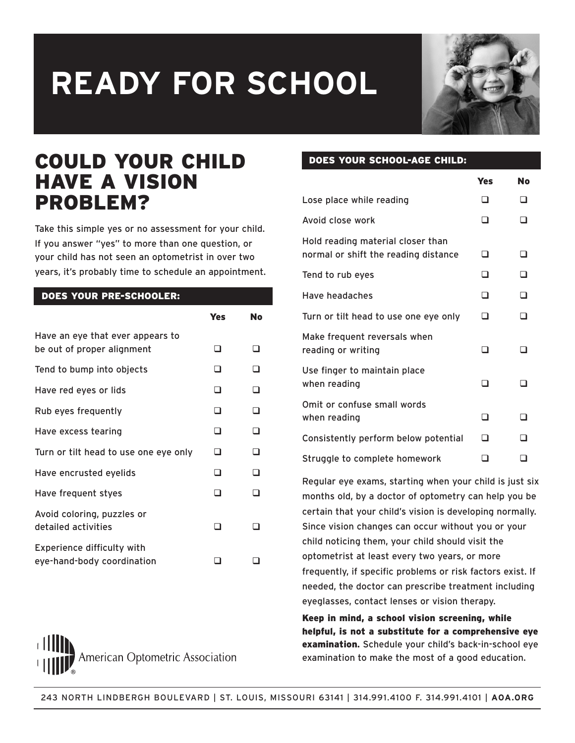

### COULD YOUR CHILD HAVE A VISION PROBLEM?

Take this simple yes or no assessment for your child. If you answer "yes" to more than one question, or your child has not seen an optometrist in over two years, it's probably time to schedule an appointment.

#### DOES YOUR PRE-SCHOOLER:

|                                                                 | Yes | No |
|-----------------------------------------------------------------|-----|----|
| Have an eye that ever appears to<br>be out of proper alignment  | n   | n  |
| Tend to bump into objects                                       | n   | n  |
| Have red eyes or lids                                           | n   | □  |
| Rub eyes frequently                                             | n   | □  |
| Have excess tearing                                             | □   | □  |
| Turn or tilt head to use one eye only                           | □   | ⊓  |
| Have encrusted eyelids                                          | ∩   | ⊓  |
| Have frequent styes                                             | n   | n  |
| Avoid coloring, puzzles or<br>detailed activities               | n   |    |
| <b>Experience difficulty with</b><br>eye-hand-body coordination |     |    |



#### DOES YOUR SCHOOL-AGE CHILD:

|                                                                           | Yes | No |
|---------------------------------------------------------------------------|-----|----|
| Lose place while reading                                                  | n   |    |
| Avoid close work                                                          | □   |    |
| Hold reading material closer than<br>normal or shift the reading distance | □   |    |
| Tend to rub eyes                                                          | □   |    |
| Have headaches                                                            | □   |    |
| Turn or tilt head to use one eye only                                     | ⊓   |    |
| Make frequent reversals when<br>reading or writing                        | רז  |    |
| Use finger to maintain place<br>when reading                              | □   |    |
| Omit or confuse small words<br>when reading                               | ⊓   |    |
| Consistently perform below potential                                      | □   |    |
| Struggle to complete homework                                             |     |    |

Regular eye exams, starting when your child is just six months old, by a doctor of optometry can help you be certain that your child's vision is developing normally. Since vision changes can occur without you or your child noticing them, your child should visit the optometrist at least every two years, or more frequently, if specific problems or risk factors exist. If needed, the doctor can prescribe treatment including eyeglasses, contact lenses or vision therapy.

Keep in mind, a school vision screening, while helpful, is not a substitute for a comprehensive eye examination**.** Schedule your child's back-in-school eye examination to make the most of a good education.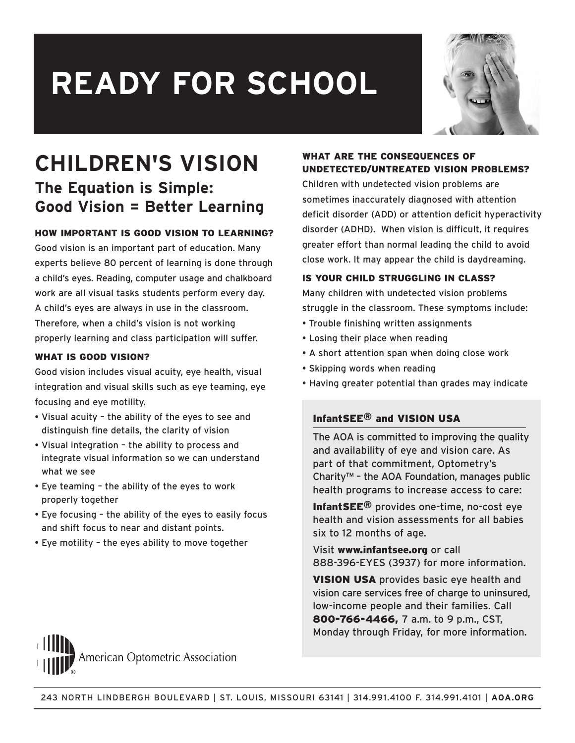

## **CHILDREN'S VISION The Equation is Simple: Good Vision = Better Learning**

#### HOW IMPORTANT IS GOOD VISION TO LEARNING?

Good vision is an important part of education. Many experts believe 80 percent of learning is done through a child's eyes. Reading, computer usage and chalkboard work are all visual tasks students perform every day. A child's eyes are always in use in the classroom. Therefore, when a child's vision is not working properly learning and class participation will suffer.

#### WHAT IS GOOD VISION?

Good vision includes visual acuity, eye health, visual integration and visual skills such as eye teaming, eye focusing and eye motility.

- Visual acuity the ability of the eyes to see and distinguish fine details, the clarity of vision
- Visual integration the ability to process and integrate visual information so we can understand what we see
- Eye teaming the ability of the eyes to work properly together
- Eye focusing the ability of the eyes to easily focus and shift focus to near and distant points.
- Eye motility the eyes ability to move together

#### WHAT ARE THE CONSEQUENCES OF UNDETECTED/UNTREATED VISION PROBLEMS?

Children with undetected vision problems are sometimes inaccurately diagnosed with attention deficit disorder (ADD) or attention deficit hyperactivity disorder (ADHD). When vision is difficult, it requires greater effort than normal leading the child to avoid close work. It may appear the child is daydreaming.

#### IS YOUR CHILD STRUGGLING IN CLASS?

Many children with undetected vision problems struggle in the classroom. These symptoms include:

- Trouble finishing written assignments
- Losing their place when reading
- A short attention span when doing close work
- Skipping words when reading
- Having greater potential than grades may indicate

#### InfantSEE® and VISION USA

The AOA is committed to improving the quality and availability of eye and vision care. As part of that commitment, Optometry's Charity™ – the AOA Foundation, manages public health programs to increase access to care:

InfantSEE® provides one-time, no-cost eye health and vision assessments for all babies six to 12 months of age.

Visit www.infantsee.org or call 888-396-EYES (3937) for more information.

VISION USA provides basic eye health and vision care services free of charge to uninsured, low-income people and their families. Call 800-766-4466, 7 a.m. to 9 p.m., CST, Monday through Friday, for more information.

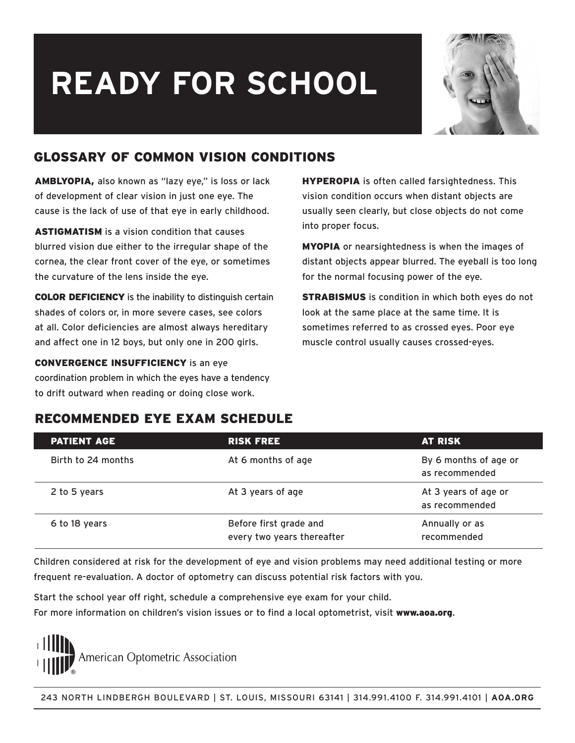

### GLOSSARY OF COMMON VISION CONDITIONS

AMBLYOPIA, also known as "lazy eye," is loss or lack of development of clear vision in just one eye. The cause is the lack of use of that eye in early childhood.

ASTIGMATISM is a vision condition that causes blurred vision due either to the irregular shape of the cornea, the clear front cover of the eye, or sometimes the curvature of the lens inside the eye.

COLOR DEFICIENCY is the inability to distinguish certain shades of colors or, in more severe cases, see colors at all. Color deficiencies are almost always hereditary and affect one in 12 boys, but only one in 200 girls.

CONVERGENCE INSUFFICIENCY is an eye coordination problem in which the eyes have a tendency to drift outward when reading or doing close work.

HYPEROPIA is often called farsightedness. This vision condition occurs when distant objects are usually seen clearly, but close objects do not come into proper focus.

MYOPIA or nearsightedness is when the images of distant objects appear blurred. The eyeball is too long for the normal focusing power of the eye.

STRABISMUS is condition in which both eyes do not look at the same place at the same time. It is sometimes referred to as crossed eyes. Poor eye muscle control usually causes crossed-eyes.

### RECOMMENDED EYE EXAM SCHEDULE

| <b>PATIENT AGE</b> | <b>RISK FREE</b>                                     | <b>AT RISK</b>                          |
|--------------------|------------------------------------------------------|-----------------------------------------|
| Birth to 24 months | At 6 months of age                                   | By 6 months of age or<br>as recommended |
| 2 to 5 years       | At 3 years of age                                    | At 3 years of age or<br>as recommended  |
| 6 to 18 years      | Before first grade and<br>every two years thereafter | Annually or as<br>recommended           |

Children considered at risk for the development of eye and vision problems may need additional testing or more frequent re-evaluation. A doctor of optometry can discuss potential risk factors with you.

Start the school year off right, schedule a comprehensive eye exam for your child. For more information on children's vision issues or to find a local optometrist, visit www.aoa.org.

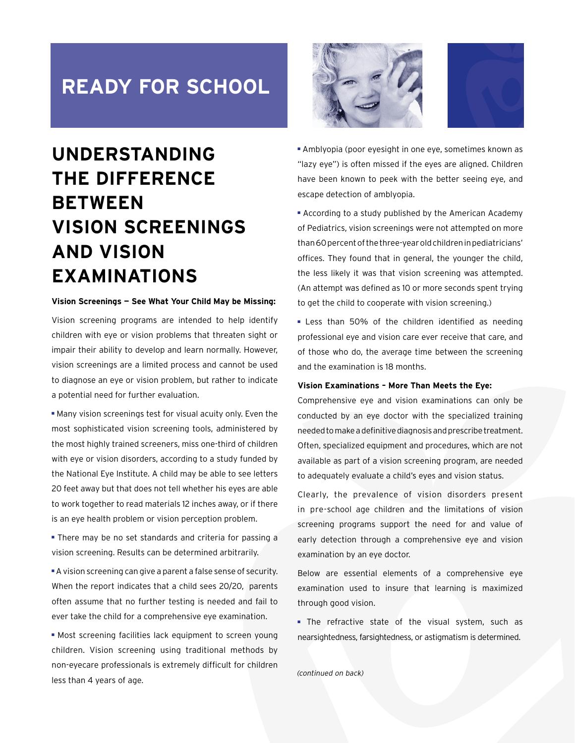## **UNDERSTANDING THE DIFFERENCE BETWEEN VISION SCREENINGS AND VISION EXAMINATIONS**

#### **Vision Screenings — See What Your Child May be Missing:**

Vision screening programs are intended to help identify children with eye or vision problems that threaten sight or impair their ability to develop and learn normally. However, vision screenings are a limited process and cannot be used to diagnose an eye or vision problem, but rather to indicate a potential need for further evaluation.

■ Many vision screenings test for visual acuity only. Even the most sophisticated vision screening tools, administered by the most highly trained screeners, miss one-third of children with eye or vision disorders, according to a study funded by the National Eye Institute. A child may be able to see letters 20 feet away but that does not tell whether his eyes are able to work together to read materials 12 inches away, or if there is an eye health problem or vision perception problem.

■ There may be no set standards and criteria for passing a vision screening. Results can be determined arbitrarily.

■ A vision screening can give a parent a false sense of security. When the report indicates that a child sees 20/20, parents often assume that no further testing is needed and fail to ever take the child for a comprehensive eye examination.

■ Most screening facilities lack equipment to screen young children. Vision screening using traditional methods by non-eyecare professionals is extremely difficult for children less than 4 years of age.





■ Amblyopia (poor eyesight in one eye, sometimes known as "lazy eye") is often missed if the eyes are aligned. Children have been known to peek with the better seeing eye, and escape detection of amblyopia.

■ According to a study published by the American Academy of Pediatrics, vision screenings were not attempted on more than 60 percent of the three-year old children in pediatricians' offices. They found that in general, the younger the child, the less likely it was that vision screening was attempted. (An attempt was defined as 10 or more seconds spent trying to get the child to cooperate with vision screening.)

■ Less than 50% of the children identified as needing professional eye and vision care ever receive that care, and of those who do, the average time between the screening and the examination is 18 months.

#### **Vision Examinations – More Than Meets the Eye:**

Comprehensive eye and vision examinations can only be conducted by an eye doctor with the specialized training needed to make a definitive diagnosis and prescribe treatment. Often, specialized equipment and procedures, which are not available as part of a vision screening program, are needed to adequately evaluate a child's eyes and vision status.

Clearly, the prevalence of vision disorders present in pre-school age children and the limitations of vision screening programs support the need for and value of early detection through a comprehensive eye and vision examination by an eye doctor.

Below are essential elements of a comprehensive eye examination used to insure that learning is maximized through good vision.

■ The refractive state of the visual system, such as nearsightedness, farsightedness, or astigmatism is determined.

(continued on back)